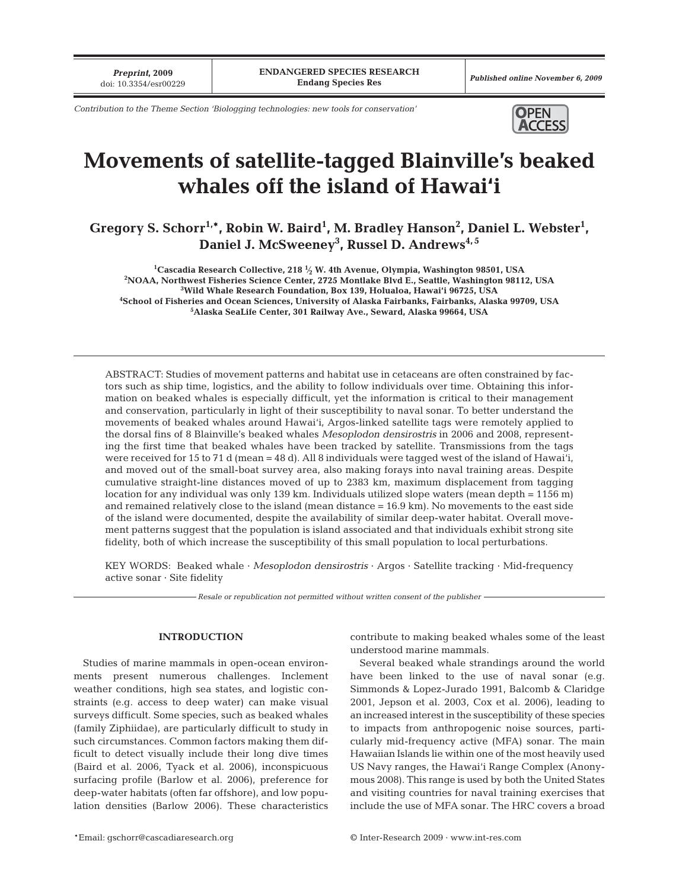*Preprint***, 2009**

*Contribution to the Theme Section 'Biologging technologies: new tools for conservation'*



# **Movements of satellite-tagged Blainville's beaked whales off the island of Hawai'i**

Gregory S. Schorr<sup>1,\*</sup>, Robin W. Baird<sup>1</sup>, M. Bradley Hanson<sup>2</sup>, Daniel L. Webster<sup>1</sup>, **Daniel J. McSweeney3 , Russel D. Andrews4, 5**

 **Cascadia Research Collective, 218 1⁄ <sup>2</sup> W. 4th Avenue, Olympia, Washington 98501, USA <sup>2</sup> NOAA, Northwest Fisheries Science Center, 2725 Montlake Blvd E., Seattle, Washington 98112, USA Wild Whale Research Foundation, Box 139, Holualoa, Hawai'i 96725, USA School of Fisheries and Ocean Sciences, University of Alaska Fairbanks, Fairbanks, Alaska 99709, USA Alaska SeaLife Center, 301 Railway Ave., Seward, Alaska 99664, USA**

ABSTRACT: Studies of movement patterns and habitat use in cetaceans are often constrained by factors such as ship time, logistics, and the ability to follow individuals over time. Obtaining this information on beaked whales is especially difficult, yet the information is critical to their management and conservation, particularly in light of their susceptibility to naval sonar. To better understand the movements of beaked whales around Hawai'i, Argos-linked satellite tags were remotely applied to the dorsal fins of 8 Blainville's beaked whales *Mesoplodon densirostris* in 2006 and 2008, representing the first time that beaked whales have been tracked by satellite. Transmissions from the tags were received for 15 to 71 d (mean = 48 d). All 8 individuals were tagged west of the island of Hawai'i, and moved out of the small-boat survey area, also making forays into naval training areas. Despite cumulative straight-line distances moved of up to 2383 km, maximum displacement from tagging location for any individual was only 139 km. Individuals utilized slope waters (mean depth = 1156 m) and remained relatively close to the island (mean distance = 16.9 km). No movements to the east side of the island were documented, despite the availability of similar deep-water habitat. Overall movement patterns suggest that the population is island associated and that individuals exhibit strong site fidelity, both of which increase the susceptibility of this small population to local perturbations.

KEY WORDS: Beaked whale · *Mesoplodon densirostris* · Argos · Satellite tracking · Mid-frequency active sonar · Site fidelity

*Resale or republication not permitted without written consent of the publisher*

## **INTRODUCTION**

Studies of marine mammals in open-ocean environments present numerous challenges. Inclement weather conditions, high sea states, and logistic constraints (e.g. access to deep water) can make visual surveys difficult. Some species, such as beaked whales (family Ziphiidae), are particularly difficult to study in such circumstances. Common factors making them difficult to detect visually include their long dive times (Baird et al. 2006, Tyack et al. 2006), inconspicuous surfacing profile (Barlow et al. 2006), preference for deep-water habitats (often far offshore), and low population densities (Barlow 2006). These characteristics

contribute to making beaked whales some of the least understood marine mammals.

Several beaked whale strandings around the world have been linked to the use of naval sonar (e.g. Simmonds & Lopez-Jurado 1991, Balcomb & Claridge 2001, Jepson et al. 2003, Cox et al. 2006), leading to an increased interest in the susceptibility of these species to impacts from anthropogenic noise sources, particularly mid-frequency active (MFA) sonar. The main Hawaiian Islands lie within one of the most heavily used US Navy ranges, the Hawai'i Range Complex (Anonymous 2008). This range is used by both the United States and visiting countries for naval training exercises that include the use of MFA sonar. The HRC covers a broad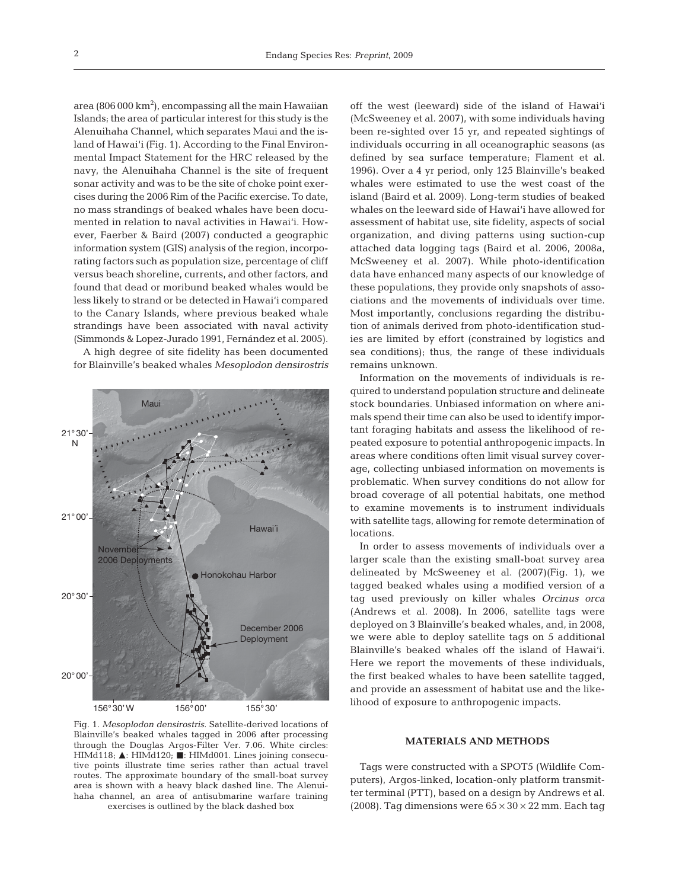area (806 000 km $^2$ ), encompassing all the main Hawaiian Islands; the area of particular interest for this study is the Alenuihaha Channel, which separates Maui and the island of Hawai'i (Fig. 1). According to the Final Environmental Impact Statement for the HRC released by the navy, the Alenuihaha Channel is the site of frequent sonar activity and was to be the site of choke point exercises during the 2006 Rim of the Pacific exercise. To date, no mass strandings of beaked whales have been documented in relation to naval activities in Hawai'i. However, Faerber & Baird (2007) conducted a geographic information system (GIS) analysis of the region, incorporating factors such as population size, percentage of cliff versus beach shoreline, currents, and other factors, and found that dead or moribund beaked whales would be less likely to strand or be detected in Hawai'i compared to the Canary Islands, where previous beaked whale strandings have been associated with naval activity (Simmonds & Lopez-Jurado 1991, Fernández et al. 2005). A high degree of site fidelity has been documented for Blainville's beaked whales *Mesoplodon densirostris*



Fig. 1. *Mesoplodon densirostris.* Satellite-derived locations of Blainville's beaked whales tagged in 2006 after processing through the Douglas Argos-Filter Ver. 7.06. White circles: HIMd118;  $\blacktriangle$ : HIMd120; **I**: HIMd001. Lines joining consecutive points illustrate time series rather than actual travel routes. The approximate boundary of the small-boat survey area is shown with a heavy black dashed line. The Alenuihaha channel, an area of antisubmarine warfare training exercises is outlined by the black dashed box

off the west (leeward) side of the island of Hawai'i (McSweeney et al. 2007), with some individuals having been re-sighted over 15 yr, and repeated sightings of individuals occurring in all oceanographic seasons (as defined by sea surface temperature; Flament et al. 1996). Over a 4 yr period, only 125 Blainville's beaked whales were estimated to use the west coast of the island (Baird et al. 2009). Long-term studies of beaked whales on the leeward side of Hawai'i have allowed for assessment of habitat use, site fidelity, aspects of social organization, and diving patterns using suction-cup attached data logging tags (Baird et al. 2006, 2008a, McSweeney et al. 2007). While photo-identification data have enhanced many aspects of our knowledge of these populations, they provide only snapshots of associations and the movements of individuals over time. Most importantly, conclusions regarding the distribution of animals derived from photo-identification studies are limited by effort (constrained by logistics and sea conditions); thus, the range of these individuals remains unknown.

Information on the movements of individuals is required to understand population structure and delineate stock boundaries. Unbiased information on where animals spend their time can also be used to identify important foraging habitats and assess the likelihood of repeated exposure to potential anthropogenic impacts. In areas where conditions often limit visual survey coverage, collecting unbiased information on movements is problematic. When survey conditions do not allow for broad coverage of all potential habitats, one method to examine movements is to instrument individuals with satellite tags, allowing for remote determination of locations.

In order to assess movements of individuals over a larger scale than the existing small-boat survey area delineated by McSweeney et al. (2007)(Fig. 1), we tagged beaked whales using a modified version of a tag used previously on killer whales *Orcinus orca* (Andrews et al. 2008). In 2006, satellite tags were deployed on 3 Blainville's beaked whales, and, in 2008, we were able to deploy satellite tags on 5 additional Blainville's beaked whales off the island of Hawai'i. Here we report the movements of these individuals, the first beaked whales to have been satellite tagged, and provide an assessment of habitat use and the likelihood of exposure to anthropogenic impacts.

### **MATERIALS AND METHODS**

Tags were constructed with a SPOT5 (Wildlife Computers), Argos-linked, location-only platform transmitter terminal (PTT), based on a design by Andrews et al. (2008). Tag dimensions were  $65 \times 30 \times 22$  mm. Each tag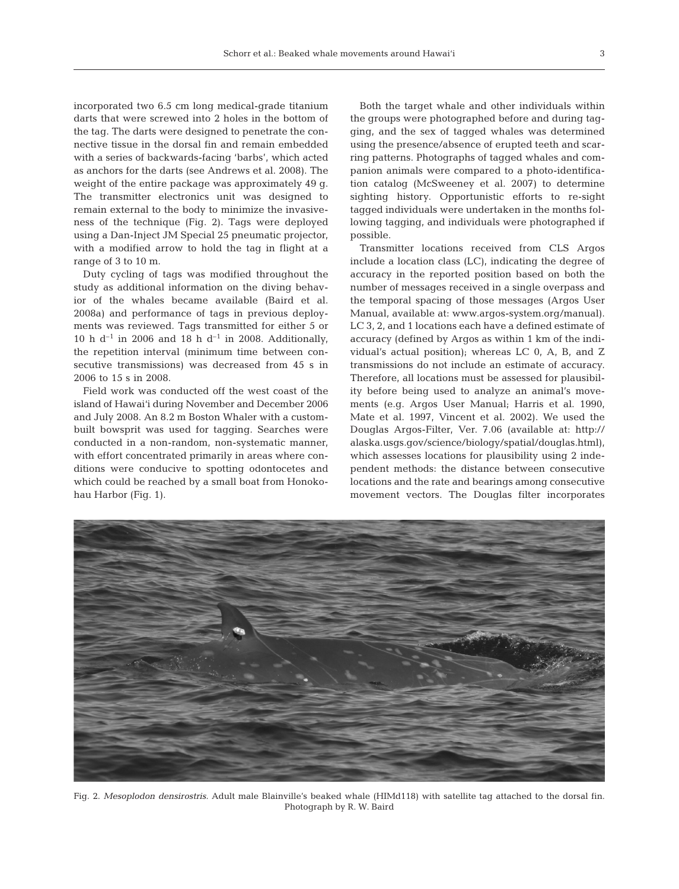incorporated two 6.5 cm long medical-grade titanium darts that were screwed into 2 holes in the bottom of the tag. The darts were designed to penetrate the connective tissue in the dorsal fin and remain embedded with a series of backwards-facing 'barbs', which acted as anchors for the darts (see Andrews et al. 2008). The weight of the entire package was approximately 49 g. The transmitter electronics unit was designed to remain external to the body to minimize the invasiveness of the technique (Fig. 2). Tags were deployed using a Dan-Inject JM Special 25 pneumatic projector, with a modified arrow to hold the tag in flight at a range of 3 to 10 m.

Duty cycling of tags was modified throughout the study as additional information on the diving behavior of the whales became available (Baird et al. 2008a) and performance of tags in previous deployments was reviewed. Tags transmitted for either 5 or 10 h d<sup>-1</sup> in 2006 and 18 h d<sup>-1</sup> in 2008. Additionally, the repetition interval (minimum time between consecutive transmissions) was decreased from 45 s in 2006 to 15 s in 2008.

Field work was conducted off the west coast of the island of Hawai'i during November and December 2006 and July 2008. An 8.2 m Boston Whaler with a custombuilt bowsprit was used for tagging. Searches were conducted in a non-random, non-systematic manner, with effort concentrated primarily in areas where conditions were conducive to spotting odontocetes and which could be reached by a small boat from Honokohau Harbor (Fig. 1).

Both the target whale and other individuals within the groups were photographed before and during tagging, and the sex of tagged whales was determined using the presence/absence of erupted teeth and scarring patterns. Photographs of tagged whales and companion animals were compared to a photo-identification catalog (McSweeney et al. 2007) to determine sighting history. Opportunistic efforts to re-sight tagged individuals were undertaken in the months following tagging, and individuals were photographed if possible.

Transmitter locations received from CLS Argos include a location class (LC), indicating the degree of accuracy in the reported position based on both the number of messages received in a single overpass and the temporal spacing of those messages (Argos User Manual, available at: www.argos-system.org/manual). LC 3, 2, and 1 locations each have a defined estimate of accuracy (defined by Argos as within 1 km of the individual's actual position); whereas LC 0, A, B, and Z transmissions do not include an estimate of accuracy. Therefore, all locations must be assessed for plausibility before being used to analyze an animal's movements (e.g. Argos User Manual; Harris et al. 1990, Mate et al. 1997, Vincent et al. 2002). We used the Douglas Argos-Filter, Ver. 7.06 (available at: http:// alaska.usgs.gov/science/biology/spatial/douglas.html), which assesses locations for plausibility using 2 independent methods: the distance between consecutive locations and the rate and bearings among consecutive movement vectors. The Douglas filter incorporates



Fig. 2. *Mesoplodon densirostris.* Adult male Blainville's beaked whale (HIMd118) with satellite tag attached to the dorsal fin. Photograph by R. W. Baird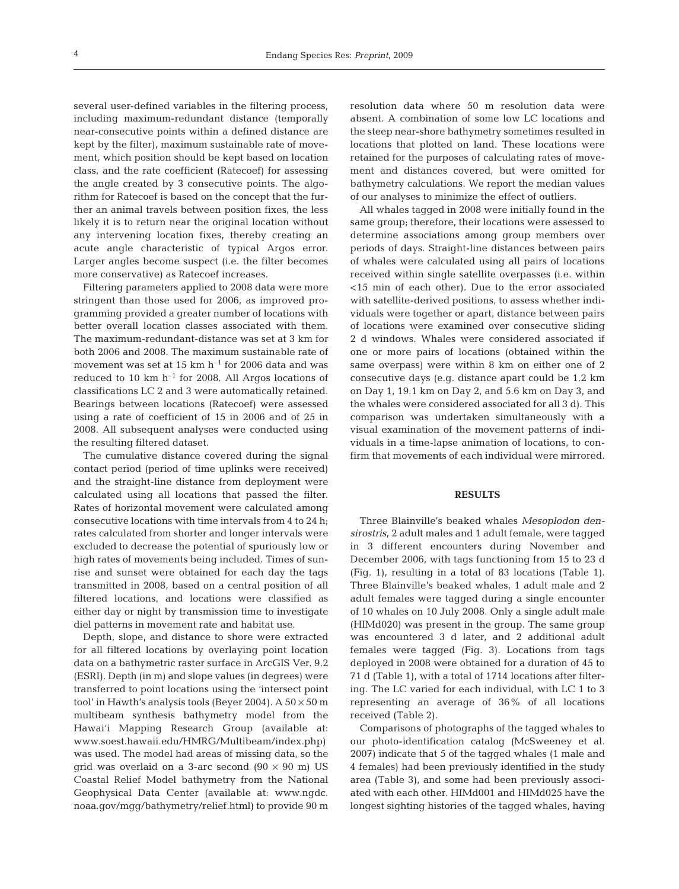several user-defined variables in the filtering process, including maximum-redundant distance (temporally near-consecutive points within a defined distance are kept by the filter), maximum sustainable rate of movement, which position should be kept based on location class, and the rate coefficient (Ratecoef) for assessing the angle created by 3 consecutive points. The algorithm for Ratecoef is based on the concept that the further an animal travels between position fixes, the less likely it is to return near the original location without any intervening location fixes, thereby creating an acute angle characteristic of typical Argos error. Larger angles become suspect (i.e. the filter becomes more conservative) as Ratecoef increases.

Filtering parameters applied to 2008 data were more stringent than those used for 2006, as improved programming provided a greater number of locations with better overall location classes associated with them. The maximum-redundant-distance was set at 3 km for both 2006 and 2008. The maximum sustainable rate of movement was set at 15 km  $h^{-1}$  for 2006 data and was reduced to 10 km  $h^{-1}$  for 2008. All Argos locations of classifications LC 2 and 3 were automatically retained. Bearings between locations (Ratecoef) were assessed using a rate of coefficient of 15 in 2006 and of 25 in 2008. All subsequent analyses were conducted using the resulting filtered dataset.

The cumulative distance covered during the signal contact period (period of time uplinks were received) and the straight-line distance from deployment were calculated using all locations that passed the filter. Rates of horizontal movement were calculated among consecutive locations with time intervals from 4 to 24 h; rates calculated from shorter and longer intervals were excluded to decrease the potential of spuriously low or high rates of movements being included. Times of sunrise and sunset were obtained for each day the tags transmitted in 2008, based on a central position of all filtered locations, and locations were classified as either day or night by transmission time to investigate diel patterns in movement rate and habitat use.

Depth, slope, and distance to shore were extracted for all filtered locations by overlaying point location data on a bathymetric raster surface in ArcGIS Ver. 9.2 (ESRI). Depth (in m) and slope values (in degrees) were transferred to point locations using the 'intersect point tool' in Hawth's analysis tools (Beyer 2004). A  $50 \times 50$  m multibeam synthesis bathymetry model from the Hawai'i Mapping Research Group (available at: www.soest.hawaii.edu/HMRG/Multibeam/index.php) was used. The model had areas of missing data, so the grid was overlaid on a 3-arc second  $(90 \times 90 \text{ m})$  US Coastal Relief Model bathymetry from the National Geophysical Data Center (available at: www.ngdc. noaa.gov/mgg/bathymetry/relief.html) to provide 90 m resolution data where 50 m resolution data were absent. A combination of some low LC locations and the steep near-shore bathymetry sometimes resulted in locations that plotted on land. These locations were retained for the purposes of calculating rates of movement and distances covered, but were omitted for bathymetry calculations. We report the median values of our analyses to minimize the effect of outliers.

All whales tagged in 2008 were initially found in the same group; therefore, their locations were assessed to determine associations among group members over periods of days. Straight-line distances between pairs of whales were calculated using all pairs of locations received within single satellite overpasses (i.e. within <15 min of each other). Due to the error associated with satellite-derived positions, to assess whether individuals were together or apart, distance between pairs of locations were examined over consecutive sliding 2 d windows. Whales were considered associated if one or more pairs of locations (obtained within the same overpass) were within 8 km on either one of 2 consecutive days (e.g. distance apart could be 1.2 km on Day 1, 19.1 km on Day 2, and 5.6 km on Day 3, and the whales were considered associated for all 3 d). This comparison was undertaken simultaneously with a visual examination of the movement patterns of individuals in a time-lapse animation of locations, to confirm that movements of each individual were mirrored.

### **RESULTS**

Three Blainville's beaked whales *Mesoplodon densirostris*, 2 adult males and 1 adult female, were tagged in 3 different encounters during November and December 2006, with tags functioning from 15 to 23 d (Fig. 1), resulting in a total of 83 locations (Table 1). Three Blainville's beaked whales, 1 adult male and 2 adult females were tagged during a single encounter of 10 whales on 10 July 2008. Only a single adult male (HIMd020) was present in the group. The same group was encountered 3 d later, and 2 additional adult females were tagged (Fig. 3). Locations from tags deployed in 2008 were obtained for a duration of 45 to 71 d (Table 1), with a total of 1714 locations after filtering. The LC varied for each individual, with LC 1 to 3 representing an average of 36% of all locations received (Table 2).

Comparisons of photographs of the tagged whales to our photo-identification catalog (McSweeney et al. 2007) indicate that 5 of the tagged whales (1 male and 4 females) had been previously identified in the study area (Table 3), and some had been previously associated with each other. HIMd001 and HIMd025 have the longest sighting histories of the tagged whales, having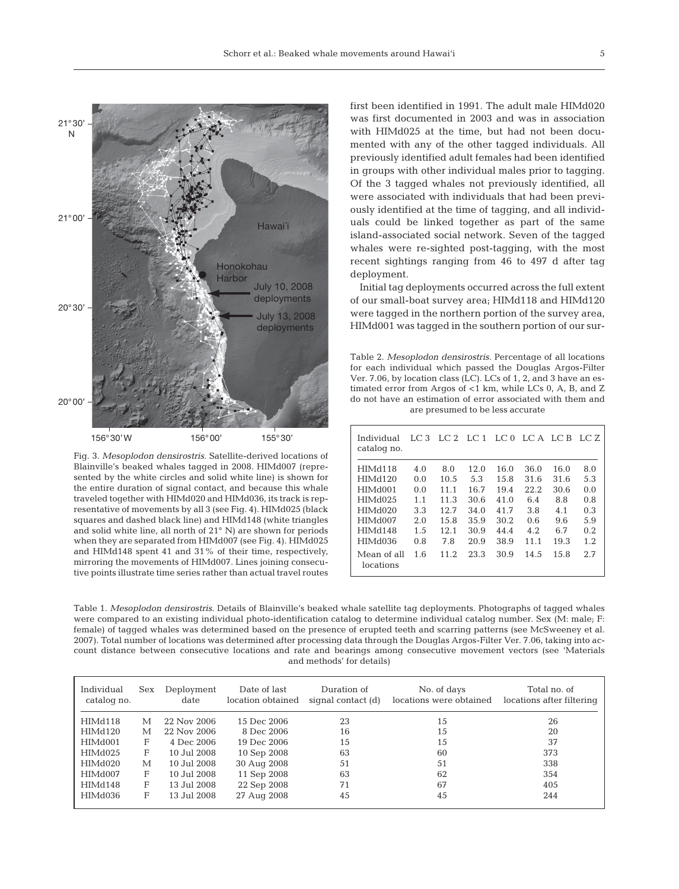

Fig. 3. *Mesoplodon densirostris.* Satellite-derived locations of Blainville's beaked whales tagged in 2008. HIMd007 (represented by the white circles and solid white line) is shown for the entire duration of signal contact, and because this whale traveled together with HIMd020 and HIMd036, its track is representative of movements by all 3 (see Fig. 4). HIMd025 (black squares and dashed black line) and HIMd148 (white triangles and solid white line, all north of 21° N) are shown for periods when they are separated from HIMd007 (see Fig. 4). HIMd025 and HIMd148 spent 41 and 31% of their time, respectively, mirroring the movements of HIMd007. Lines joining consecutive points illustrate time series rather than actual travel routes

first been identified in 1991. The adult male HIMd020 was first documented in 2003 and was in association with HIMd025 at the time, but had not been documented with any of the other tagged individuals. All previously identified adult females had been identified in groups with other individual males prior to tagging. Of the 3 tagged whales not previously identified, all were associated with individuals that had been previously identified at the time of tagging, and all individuals could be linked together as part of the same island-associated social network. Seven of the tagged whales were re-sighted post-tagging, with the most recent sightings ranging from 46 to 497 d after tag deployment.

Initial tag deployments occurred across the full extent of our small-boat survey area; HIMd118 and HIMd120 were tagged in the northern portion of the survey area, HIMd001 was tagged in the southern portion of our sur-

Table 2. *Mesoplodon densirostris.* Percentage of all locations for each individual which passed the Douglas Argos-Filter Ver. 7.06, by location class (LC). LCs of 1, 2, and 3 have an estimated error from Argos of <1 km, while LCs 0, A, B, and Z do not have an estimation of error associated with them and are presumed to be less accurate

| Individual<br>catalog no.                                                                                      | LC3                                                  | $LC2$ $LC1$                                                |                                                             | LC <sub>0</sub>                                              | LC A LC B                                                |                                                          | LC Z                                                 |
|----------------------------------------------------------------------------------------------------------------|------------------------------------------------------|------------------------------------------------------------|-------------------------------------------------------------|--------------------------------------------------------------|----------------------------------------------------------|----------------------------------------------------------|------------------------------------------------------|
| HIMd118<br>HIMd120<br>HIM <sub>d</sub> 001<br>HIM <sub>d</sub> 025<br>HIMd020<br>HIMd007<br>HIMd148<br>HIMd036 | 4.0<br>0.0<br>0.0<br>1.1<br>3.3<br>2.0<br>1.5<br>0.8 | 8.0<br>10.5<br>11.1<br>11.3<br>12.7<br>15.8<br>12.1<br>7.8 | 12.0<br>5.3<br>16.7<br>30.6<br>34.0<br>35.9<br>30.9<br>20.9 | 16.0<br>15.8<br>19.4<br>41.0<br>41.7<br>30.2<br>44.4<br>38.9 | 36.0<br>31.6<br>22.2<br>6.4<br>3.8<br>0.6<br>4.2<br>11.1 | 16.0<br>31.6<br>30.6<br>8.8<br>4.1<br>9.6<br>6.7<br>19.3 | 8.0<br>5.3<br>0.0<br>0.8<br>0.3<br>5.9<br>0.2<br>1.2 |
| Mean of all<br>locations                                                                                       | 1.6                                                  | 11.2                                                       | 23.3                                                        | 30.9                                                         | 14.5                                                     | 1.5.8                                                    | 2.7                                                  |

Table 1. *Mesoplodon densirostris*. Details of Blainville's beaked whale satellite tag deployments. Photographs of tagged whales were compared to an existing individual photo-identification catalog to determine individual catalog number. Sex (M: male; F: female) of tagged whales was determined based on the presence of erupted teeth and scarring patterns (see McSweeney et al. 2007). Total number of locations was determined after processing data through the Douglas Argos-Filter Ver. 7.06, taking into account distance between consecutive locations and rate and bearings among consecutive movement vectors (see 'Materials and methods' for details)

| Individual<br>catalog no. | Sex | Deployment<br>date | Date of last<br>location obtained | Duration of<br>signal contact (d) | No. of days<br>locations were obtained | Total no. of<br>locations after filtering |
|---------------------------|-----|--------------------|-----------------------------------|-----------------------------------|----------------------------------------|-------------------------------------------|
| HIMd118                   | М   | 22 Nov 2006        | 15 Dec 2006                       | 23                                | 15                                     | 26                                        |
| HIMd120                   | М   | 22 Nov 2006        | 8 Dec 2006                        | 16                                | 15                                     | 20                                        |
| HIMd001                   | F   | 4 Dec 2006         | 19 Dec 2006                       | 15                                | 15                                     | 37                                        |
| HIMd025                   | F   | 10 Jul 2008        | 10 Sep 2008                       | 63                                | 60                                     | 373                                       |
| HIMd020                   | М   | 10 Jul 2008        | 30 Aug 2008                       | 51                                | 51                                     | 338                                       |
| HIMd007                   | F   | 10 Jul 2008        | 11 Sep 2008                       | 63                                | 62                                     | 354                                       |
| HIMd148                   | F   | 13 Jul 2008        | 22 Sep 2008                       | 71                                | 67                                     | 405                                       |
| HIMd036                   | F   | 13 Jul 2008        | 27 Aug 2008                       | 45                                | 45                                     | 244                                       |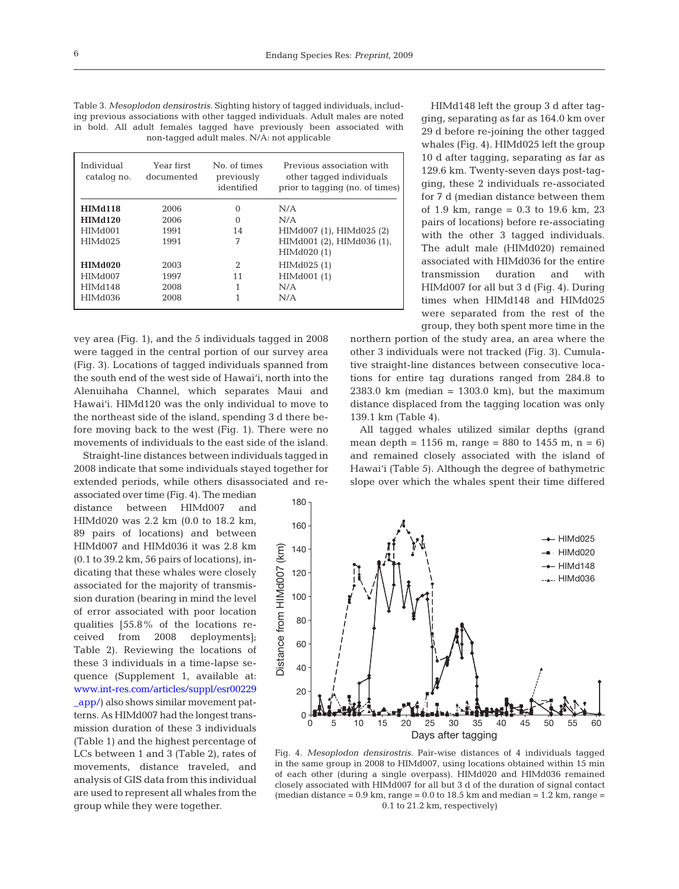Table 3. *Mesoplodon densirostris.* Sighting history of tagged individuals, including previous associations with other tagged individuals. Adult males are noted in bold. All adult females tagged have previously been associated with non-tagged adult males. N/A: not applicable

| Individual<br>catalog no. | Year first<br>documented | No. of times<br>previously<br>identified | Previous association with<br>other tagged individuals<br>prior to tagging (no. of times) |
|---------------------------|--------------------------|------------------------------------------|------------------------------------------------------------------------------------------|
| HIMd118                   | 2006                     | $\Omega$                                 | N/A                                                                                      |
| <b>HIMd120</b>            | 2006                     | $\Omega$                                 | N/A                                                                                      |
| HIM <sub>d</sub> 001      | 1991                     | 14                                       | HIMd007 (1), HIMd025 (2)                                                                 |
| HIM <sub>d</sub> 025      | 1991                     | 7                                        | HIMd001 (2), HIMd036 (1),                                                                |
|                           |                          |                                          | HIMd020 (1)                                                                              |
| HIMd020                   | 2003                     | 2                                        | HIMd025 (1)                                                                              |
| HIMd007                   | 1997                     | 11                                       | HIMd001 (1)                                                                              |
| HIMd148                   | 2008                     | 1                                        | N/A                                                                                      |
| HIMd036                   | 2008                     |                                          | N/A                                                                                      |

vey area (Fig. 1), and the 5 individuals tagged in 2008 were tagged in the central portion of our survey area (Fig. 3). Locations of tagged individuals spanned from the south end of the west side of Hawai'i, north into the Alenuihaha Channel, which separates Maui and Hawai'i. HIMd120 was the only individual to move to the northeast side of the island, spending 3 d there before moving back to the west (Fig. 1). There were no movements of individuals to the east side of the island.

Straight-line distances between individuals tagged in 2008 indicate that some individuals stayed together for extended periods, while others disassociated and re-

associated over time (Fig. 4). The median distance between HIMd007 and HIMd020 was 2.2 km (0.0 to 18.2 km, 89 pairs of locations) and between HIMd007 and HIMd036 it was 2.8 km (0.1 to 39.2 km, 56 pairs of locations), indicating that these whales were closely associated for the majority of transmission duration (bearing in mind the level of error associated with poor location qualities [55.8% of the locations received from 2008 deployments]; Table 2). Reviewing the locations of these 3 individuals in a time-lapse sequence (Supplement 1, available at: www.int-res.com/articles/suppl/esr00229 \_app/) also shows similar movement patterns. As HIMd007 had the longest transmission duration of these 3 individuals (Table 1) and the highest percentage of LCs between 1 and 3 (Table 2), rates of movements, distance traveled, and analysis of GIS data from this individual are used to represent all whales from the group while they were together.

HIMd148 left the group 3 d after tagging, separating as far as 164.0 km over 29 d before re-joining the other tagged whales (Fig. 4). HIMd025 left the group 10 d after tagging, separating as far as 129.6 km. Twenty-seven days post-tagging, these 2 individuals re-associated for 7 d (median distance between them of 1.9 km, range =  $0.3$  to 19.6 km, 23 pairs of locations) before re-associating with the other 3 tagged individuals. The adult male (HIMd020) remained associated with HIMd036 for the entire transmission duration and with HIMd007 for all but 3 d (Fig. 4). During times when HIMd148 and HIMd025 were separated from the rest of the group, they both spent more time in the

northern portion of the study area, an area where the other 3 individuals were not tracked (Fig. 3). Cumulative straight-line distances between consecutive locations for entire tag durations ranged from 284.8 to 2383.0 km (median =  $1303.0$  km), but the maximum distance displaced from the tagging location was only 139.1 km (Table 4).

All tagged whales utilized similar depths (grand mean depth = 1156 m, range = 880 to 1455 m,  $n = 6$ ) and remained closely associated with the island of Hawai'i (Table 5). Although the degree of bathymetric slope over which the whales spent their time differed



Fig. 4. *Mesoplodon densirostris.* Pair-wise distances of 4 individuals tagged in the same group in 2008 to HIMd007, using locations obtained within 15 min of each other (during a single overpass). HIMd020 and HIMd036 remained closely associated with HIMd007 for all but 3 d of the duration of signal contact (median distance  $= 0.9$  km, range  $= 0.0$  to 18.5 km and median  $= 1.2$  km, range  $=$ 0.1 to 21.2 km, respectively)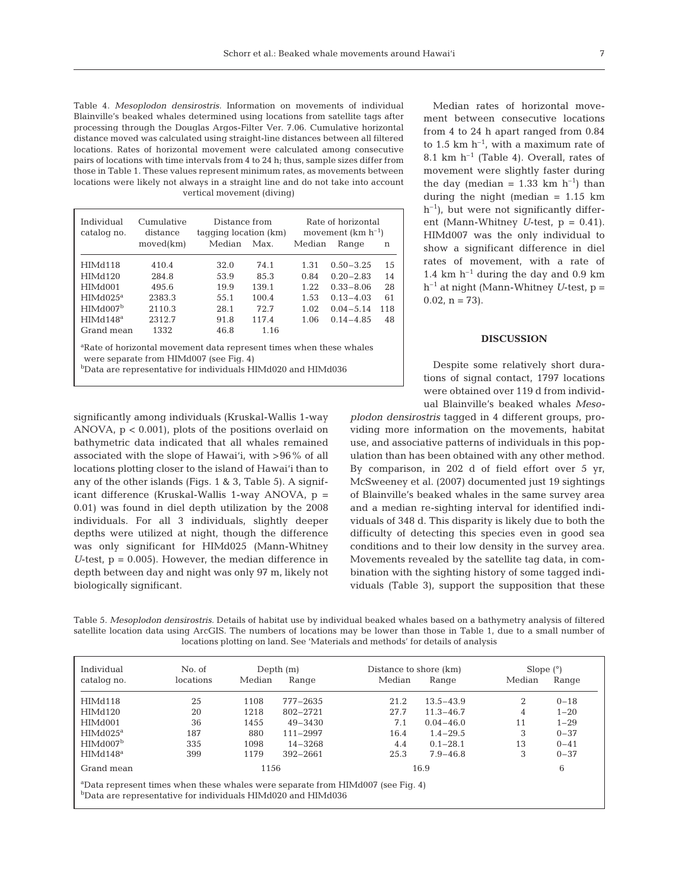Table 4. *Mesoplodon densirostris.* Information on movements of individual Blainville's beaked whales determined using locations from satellite tags after processing through the Douglas Argos-Filter Ver. 7.06. Cumulative horizontal distance moved was calculated using straight-line distances between all filtered locations. Rates of horizontal movement were calculated among consecutive pairs of locations with time intervals from 4 to 24 h; thus, sample sizes differ from those in Table 1. These values represent minimum rates, as movements between locations were likely not always in a straight line and do not take into account vertical movement (diving)

| Individual<br>catalog no. | Cumulative<br>distance | Distance from<br>tagging location (km) |       | Rate of horizontal<br>movement $(km h^{-1})$ |               |     |  |
|---------------------------|------------------------|----------------------------------------|-------|----------------------------------------------|---------------|-----|--|
|                           | moved(km)              | Median                                 | Max.  | Median                                       | Range         | n   |  |
|                           |                        |                                        |       |                                              |               |     |  |
| HIMd118                   | 410.4                  | 32.0                                   | 74.1  | 1.31                                         | $0.50 - 3.25$ | 15  |  |
| <b>HIMd120</b>            | 284.8                  | 53.9                                   | 85.3  | 0.84                                         | $0.20 - 2.83$ | 14  |  |
| HIMd001                   | 495.6                  | 19.9                                   | 139.1 | 1.22.                                        | $0.33 - 8.06$ | 28  |  |
| $HIMd025^a$               | 2383.3                 | 55.1                                   | 100.4 | 1.53                                         | $0.13 - 4.03$ | 61  |  |
| HIMd007 <sup>b</sup>      | 2110.3                 | 28.1                                   | 72.7  | 1.02                                         | $0.04 - 5.14$ | 118 |  |
| HIMd148 <sup>a</sup>      | 2312.7                 | 91.8                                   | 117.4 | 1.06                                         | $0.14 - 4.85$ | 48  |  |
| Grand mean                | 1332                   | 46.8                                   | 1.16  |                                              |               |     |  |

a Rate of horizontal movement data represent times when these whales were separate from HIMd007 (see Fig. 4)

b<sub>Data</sub> are representative for individuals HIMd020 and HIMd036

significantly among individuals (Kruskal-Wallis 1-way ANOVA, p < 0.001), plots of the positions overlaid on bathymetric data indicated that all whales remained associated with the slope of Hawai'i, with >96% of all locations plotting closer to the island of Hawai'i than to any of the other islands (Figs. 1 & 3, Table 5). A significant difference (Kruskal-Wallis 1-way ANOVA, p = 0.01) was found in diel depth utilization by the 2008 individuals. For all 3 individuals, slightly deeper depths were utilized at night, though the difference was only significant for HIMd025 (Mann-Whitney *U*-test,  $p = 0.005$ . However, the median difference in depth between day and night was only 97 m, likely not biologically significant.

Median rates of horizontal movement between consecutive locations from 4 to 24 h apart ranged from 0.84 to 1.5 km  $h^{-1}$ , with a maximum rate of 8.1 km  $h^{-1}$  (Table 4). Overall, rates of movement were slightly faster during the day (median =  $1.33$  km h<sup>-1</sup>) than during the night (median = 1.15 km  $h^{-1}$ , but were not significantly different (Mann-Whitney *U*-test, p = 0.41). HIMd007 was the only individual to show a significant difference in diel rates of movement, with a rate of 1.4 km  $h^{-1}$  during the day and 0.9 km  $h^{-1}$  at night (Mann-Whitney *U*-test,  $p =$  $0.02$ ,  $n = 73$ ).

## **DISCUSSION**

Despite some relatively short durations of signal contact, 1797 locations were obtained over 119 d from individual Blainville's beaked whales *Meso-*

*plodon densirostris* tagged in 4 different groups, providing more information on the movements, habitat use, and associative patterns of individuals in this population than has been obtained with any other method. By comparison, in 202 d of field effort over 5 yr, McSweeney et al. (2007) documented just 19 sightings of Blainville's beaked whales in the same survey area and a median re-sighting interval for identified individuals of 348 d. This disparity is likely due to both the difficulty of detecting this species even in good sea conditions and to their low density in the survey area. Movements revealed by the satellite tag data, in combination with the sighting history of some tagged individuals (Table 3), support the supposition that these

Table 5. *Mesoplodon densirostris.* Details of habitat use by individual beaked whales based on a bathymetry analysis of filtered satellite location data using ArcGIS. The numbers of locations may be lower than those in Table 1, due to a small number of locations plotting on land. See 'Materials and methods' for details of analysis

| Individual                                                                                                                                                              | No. of    |        | Depth $(m)$  |        | Distance to shore (km) |        | Slope $(°)$ |  |
|-------------------------------------------------------------------------------------------------------------------------------------------------------------------------|-----------|--------|--------------|--------|------------------------|--------|-------------|--|
| catalog no.                                                                                                                                                             | locations | Median | Range        | Median | Range                  | Median | Range       |  |
| HIMd118                                                                                                                                                                 | 25        | 1108   | 777-2635     | 21.2   | $13.5 - 43.9$          | 2      | $0 - 18$    |  |
| HIMd120                                                                                                                                                                 | 20        | 1218   | 802-2721     | 27.7   | $11.3 - 46.7$          | 4      | $1 - 20$    |  |
| HIM <sub>d</sub> 001                                                                                                                                                    | 36        | 1455   | $49 - 3430$  | 7.1    | $0.04 - 46.0$          | 11     | $1 - 29$    |  |
| $HIMd025^a$                                                                                                                                                             | 187       | 880    | $111 - 2997$ | 16.4   | $1.4 - 29.5$           | 3      | $0 - 37$    |  |
| HIMd007 <sup>b</sup>                                                                                                                                                    | 335       | 1098   | $14 - 3268$  | 4.4    | $0.1 - 28.1$           | 13     | $0 - 41$    |  |
| HIMd148 <sup>a</sup>                                                                                                                                                    | 399       | 1179   | $392 - 2661$ | 25.3   | $7.9 - 46.8$           | 3      | $0 - 37$    |  |
| Grand mean                                                                                                                                                              |           | 1156   |              |        | 16.9                   |        | 6           |  |
| <sup>a</sup> Data represent times when these whales were separate from HIMd007 (see Fig. 4)<br><sup>b</sup> Data are representative for individuals HIMd020 and HIMd036 |           |        |              |        |                        |        |             |  |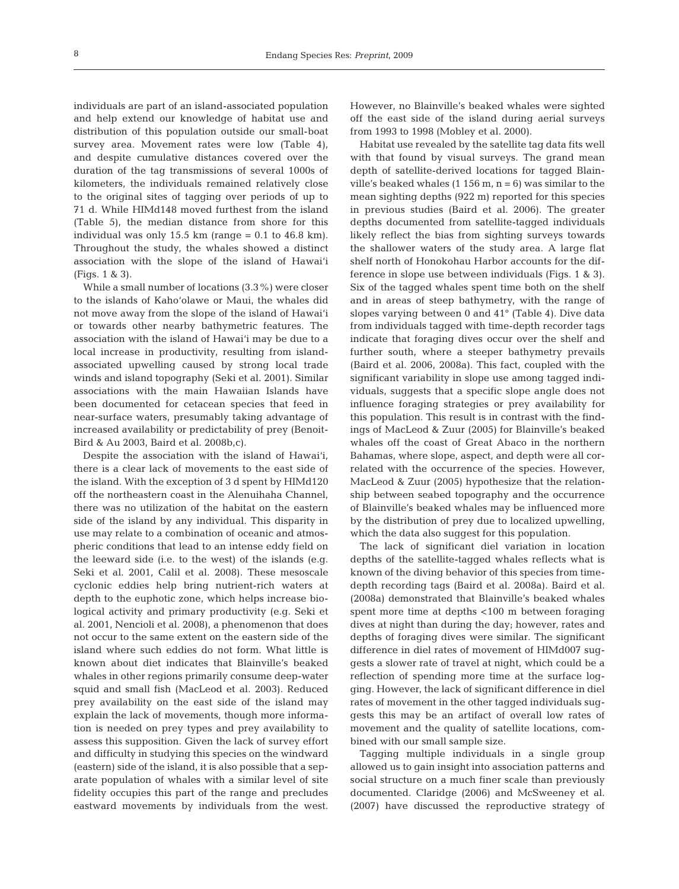individuals are part of an island-associated population and help extend our knowledge of habitat use and distribution of this population outside our small-boat survey area. Movement rates were low (Table 4), and despite cumulative distances covered over the duration of the tag transmissions of several 1000s of kilometers, the individuals remained relatively close to the original sites of tagging over periods of up to 71 d. While HIMd148 moved furthest from the island (Table 5), the median distance from shore for this individual was only 15.5 km (range  $= 0.1$  to 46.8 km). Throughout the study, the whales showed a distinct association with the slope of the island of Hawai'i (Figs. 1 & 3).

While a small number of locations (3.3%) were closer to the islands of Kaho'olawe or Maui, the whales did not move away from the slope of the island of Hawai'i or towards other nearby bathymetric features. The association with the island of Hawai'i may be due to a local increase in productivity, resulting from islandassociated upwelling caused by strong local trade winds and island topography (Seki et al. 2001). Similar associations with the main Hawaiian Islands have been documented for cetacean species that feed in near-surface waters, presumably taking advantage of increased availability or predictability of prey (Benoit-Bird & Au 2003, Baird et al. 2008b,c).

Despite the association with the island of Hawai'i, there is a clear lack of movements to the east side of the island. With the exception of 3 d spent by HIMd120 off the northeastern coast in the Alenuihaha Channel, there was no utilization of the habitat on the eastern side of the island by any individual. This disparity in use may relate to a combination of oceanic and atmospheric conditions that lead to an intense eddy field on the leeward side (i.e. to the west) of the islands (e.g. Seki et al. 2001, Calil et al. 2008). These mesoscale cyclonic eddies help bring nutrient-rich waters at depth to the euphotic zone, which helps increase biological activity and primary productivity (e.g. Seki et al. 2001, Nencioli et al. 2008), a phenomenon that does not occur to the same extent on the eastern side of the island where such eddies do not form. What little is known about diet indicates that Blainville's beaked whales in other regions primarily consume deep-water squid and small fish (MacLeod et al. 2003). Reduced prey availability on the east side of the island may explain the lack of movements, though more information is needed on prey types and prey availability to assess this supposition. Given the lack of survey effort and difficulty in studying this species on the windward (eastern) side of the island, it is also possible that a separate population of whales with a similar level of site fidelity occupies this part of the range and precludes eastward movements by individuals from the west.

However, no Blainville's beaked whales were sighted off the east side of the island during aerial surveys from 1993 to 1998 (Mobley et al. 2000).

Habitat use revealed by the satellite tag data fits well with that found by visual surveys. The grand mean depth of satellite-derived locations for tagged Blainville's beaked whales  $(1\ 156\ m, n = 6)$  was similar to the mean sighting depths (922 m) reported for this species in previous studies (Baird et al. 2006). The greater depths documented from satellite-tagged individuals likely reflect the bias from sighting surveys towards the shallower waters of the study area. A large flat shelf north of Honokohau Harbor accounts for the difference in slope use between individuals (Figs. 1 & 3). Six of the tagged whales spent time both on the shelf and in areas of steep bathymetry, with the range of slopes varying between 0 and 41° (Table 4). Dive data from individuals tagged with time-depth recorder tags indicate that foraging dives occur over the shelf and further south, where a steeper bathymetry prevails (Baird et al. 2006, 2008a). This fact, coupled with the significant variability in slope use among tagged individuals, suggests that a specific slope angle does not influence foraging strategies or prey availability for this population. This result is in contrast with the findings of MacLeod & Zuur (2005) for Blainville's beaked whales off the coast of Great Abaco in the northern Bahamas, where slope, aspect, and depth were all correlated with the occurrence of the species. However, MacLeod & Zuur (2005) hypothesize that the relationship between seabed topography and the occurrence of Blainville's beaked whales may be influenced more by the distribution of prey due to localized upwelling, which the data also suggest for this population.

The lack of significant diel variation in location depths of the satellite-tagged whales reflects what is known of the diving behavior of this species from timedepth recording tags (Baird et al. 2008a). Baird et al. (2008a) demonstrated that Blainville's beaked whales spent more time at depths <100 m between foraging dives at night than during the day; however, rates and depths of foraging dives were similar. The significant difference in diel rates of movement of HIMd007 suggests a slower rate of travel at night, which could be a reflection of spending more time at the surface logging. However, the lack of significant difference in diel rates of movement in the other tagged individuals suggests this may be an artifact of overall low rates of movement and the quality of satellite locations, combined with our small sample size.

Tagging multiple individuals in a single group allowed us to gain insight into association patterns and social structure on a much finer scale than previously documented. Claridge (2006) and McSweeney et al. (2007) have discussed the reproductive strategy of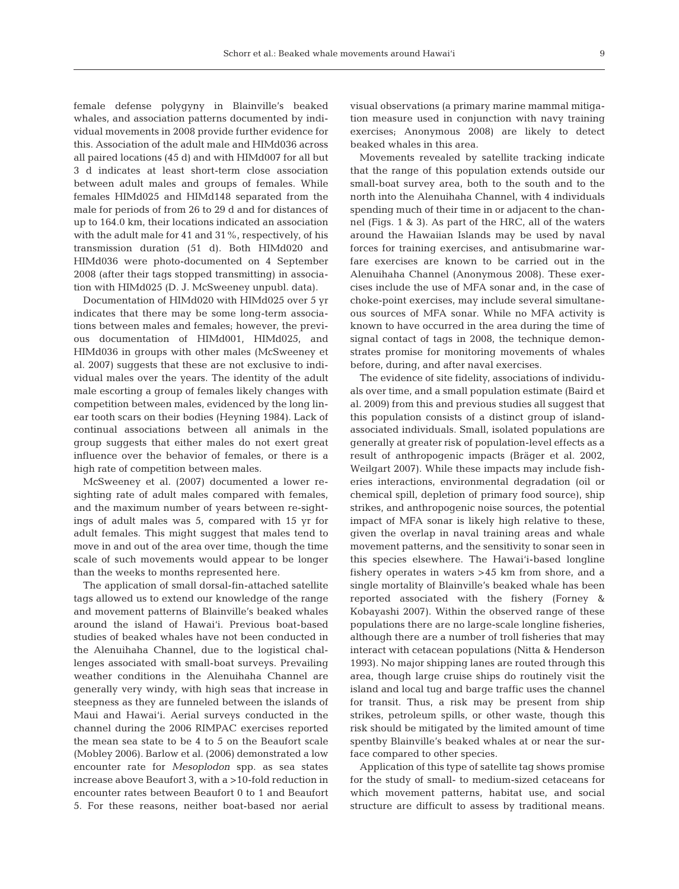female defense polygyny in Blainville's beaked whales, and association patterns documented by individual movements in 2008 provide further evidence for this. Association of the adult male and HIMd036 across all paired locations (45 d) and with HIMd007 for all but 3 d indicates at least short-term close association between adult males and groups of females. While females HIMd025 and HIMd148 separated from the male for periods of from 26 to 29 d and for distances of up to 164.0 km, their locations indicated an association with the adult male for 41 and 31%, respectively, of his transmission duration (51 d). Both HIMd020 and HIMd036 were photo-documented on 4 September 2008 (after their tags stopped transmitting) in association with HIMd025 (D. J. McSweeney unpubl. data).

Documentation of HIMd020 with HIMd025 over 5 yr indicates that there may be some long-term associations between males and females; however, the previous documentation of HIMd001, HIMd025, and HIMd036 in groups with other males (McSweeney et al. 2007) suggests that these are not exclusive to individual males over the years. The identity of the adult male escorting a group of females likely changes with competition between males, evidenced by the long linear tooth scars on their bodies (Heyning 1984). Lack of continual associations between all animals in the group suggests that either males do not exert great influence over the behavior of females, or there is a high rate of competition between males.

McSweeney et al. (2007) documented a lower resighting rate of adult males compared with females, and the maximum number of years between re-sightings of adult males was 5, compared with 15 yr for adult females. This might suggest that males tend to move in and out of the area over time, though the time scale of such movements would appear to be longer than the weeks to months represented here.

The application of small dorsal-fin-attached satellite tags allowed us to extend our knowledge of the range and movement patterns of Blainville's beaked whales around the island of Hawai'i. Previous boat-based studies of beaked whales have not been conducted in the Alenuihaha Channel, due to the logistical challenges associated with small-boat surveys. Prevailing weather conditions in the Alenuihaha Channel are generally very windy, with high seas that increase in steepness as they are funneled between the islands of Maui and Hawai'i. Aerial surveys conducted in the channel during the 2006 RIMPAC exercises reported the mean sea state to be 4 to 5 on the Beaufort scale (Mobley 2006). Barlow et al. (2006) demonstrated a low encounter rate for *Mesoplodon* spp. as sea states increase above Beaufort 3, with a >10-fold reduction in encounter rates between Beaufort 0 to 1 and Beaufort 5. For these reasons, neither boat-based nor aerial visual observations (a primary marine mammal mitigation measure used in conjunction with navy training exercises; Anonymous 2008) are likely to detect beaked whales in this area.

Movements revealed by satellite tracking indicate that the range of this population extends outside our small-boat survey area, both to the south and to the north into the Alenuihaha Channel, with 4 individuals spending much of their time in or adjacent to the channel (Figs. 1 & 3). As part of the HRC, all of the waters around the Hawaiian Islands may be used by naval forces for training exercises, and antisubmarine warfare exercises are known to be carried out in the Alenuihaha Channel (Anonymous 2008). These exercises include the use of MFA sonar and, in the case of choke-point exercises, may include several simultaneous sources of MFA sonar. While no MFA activity is known to have occurred in the area during the time of signal contact of tags in 2008, the technique demonstrates promise for monitoring movements of whales before, during, and after naval exercises.

The evidence of site fidelity, associations of individuals over time, and a small population estimate (Baird et al. 2009) from this and previous studies all suggest that this population consists of a distinct group of islandassociated individuals. Small, isolated populations are generally at greater risk of population-level effects as a result of anthropogenic impacts (Bräger et al. 2002, Weilgart 2007). While these impacts may include fisheries interactions, environmental degradation (oil or chemical spill, depletion of primary food source), ship strikes, and anthropogenic noise sources, the potential impact of MFA sonar is likely high relative to these, given the overlap in naval training areas and whale movement patterns, and the sensitivity to sonar seen in this species elsewhere. The Hawai'i-based longline fishery operates in waters >45 km from shore, and a single mortality of Blainville's beaked whale has been reported associated with the fishery (Forney & Kobayashi 2007). Within the observed range of these populations there are no large-scale longline fisheries, although there are a number of troll fisheries that may interact with cetacean populations (Nitta & Henderson 1993). No major shipping lanes are routed through this area, though large cruise ships do routinely visit the island and local tug and barge traffic uses the channel for transit. Thus, a risk may be present from ship strikes, petroleum spills, or other waste, though this risk should be mitigated by the limited amount of time spentby Blainville's beaked whales at or near the surface compared to other species.

Application of this type of satellite tag shows promise for the study of small- to medium-sized cetaceans for which movement patterns, habitat use, and social structure are difficult to assess by traditional means.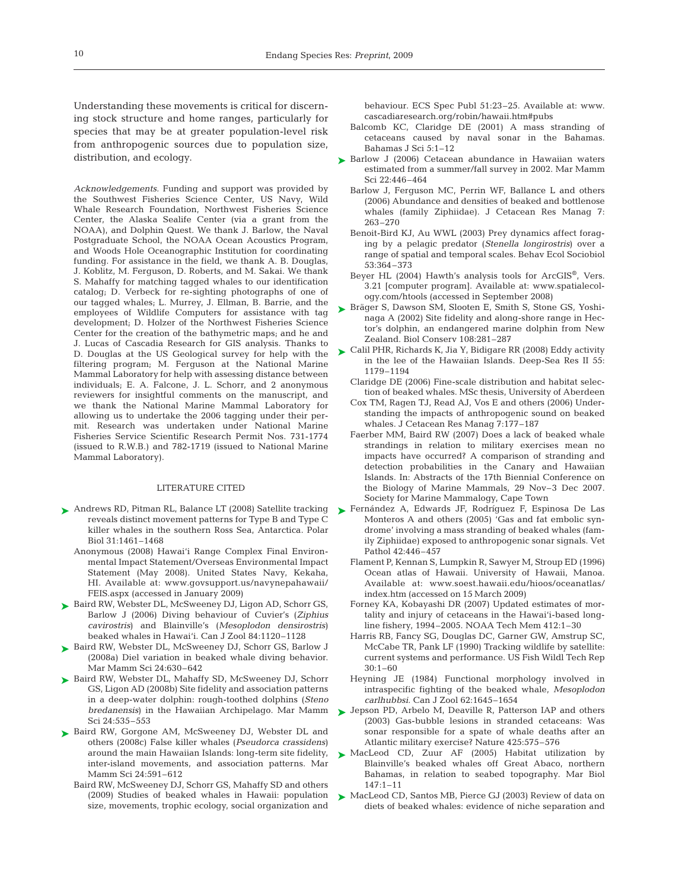Understanding these movements is critical for discerning stock structure and home ranges, particularly for species that may be at greater population-level risk from anthropogenic sources due to population size, distribution, and ecology.

*Acknowledgements.* Funding and support was provided by the Southwest Fisheries Science Center, US Navy, Wild Whale Research Foundation, Northwest Fisheries Science Center, the Alaska Sealife Center (via a grant from the NOAA), and Dolphin Quest. We thank J. Barlow, the Naval Postgraduate School, the NOAA Ocean Acoustics Program, and Woods Hole Oceanographic Institution for coordinating funding. For assistance in the field, we thank A. B. Douglas, J. Koblitz, M. Ferguson, D. Roberts, and M. Sakai. We thank S. Mahaffy for matching tagged whales to our identification catalog; D. Verbeck for re-sighting photographs of one of our tagged whales; L. Murrey, J. Ellman, B. Barrie, and the employees of Wildlife Computers for assistance with tag development; D. Holzer of the Northwest Fisheries Science Center for the creation of the bathymetric maps; and he and J. Lucas of Cascadia Research for GIS analysis. Thanks to D. Douglas at the US Geological survey for help with the filtering program; M. Ferguson at the National Marine Mammal Laboratory for help with assessing distance between individuals; E. A. Falcone, J. L. Schorr, and 2 anonymous reviewers for insightful comments on the manuscript, and we thank the National Marine Mammal Laboratory for allowing us to undertake the 2006 tagging under their permit. Research was undertaken under National Marine Fisheries Service Scientific Research Permit Nos. 731-1774 (issued to R.W.B.) and 782-1719 (issued to National Marine Mammal Laboratory).

#### LITERATURE CITED

- ► Andrews RD, Pitman RL, Balance LT (2008) Satellite tracking reveals distinct movement patterns for Type B and Type C killer whales in the southern Ross Sea, Antarctica. Polar Biol 31:1461–1468
	- Anonymous (2008) Hawai'i Range Complex Final Environmental Impact Statement/Overseas Environmental Impact Statement (May 2008). United States Navy, Kekaha, HI. Available at: www.govsupport.us/navynepahawaii/ FEIS.aspx (accessed in January 2009)
- ▶ Baird RW, Webster DL, McSweeney DJ, Ligon AD, Schorr GS, Barlow J (2006) Diving behaviour of Cuvier's (*Ziphius cavirostris*) and Blainville's (*Mesoplodon densirostris*) beaked whales in Hawai'i. Can J Zool 84:1120–1128
- ▶ Baird RW, Webster DL, McSweeney DJ, Schorr GS, Barlow J (2008a) Diel variation in beaked whale diving behavior. Mar Mamm Sci 24:630–642
- ▶ Baird RW, Webster DL, Mahaffy SD, McSweeney DJ, Schorr GS, Ligon AD (2008b) Site fidelity and association patterns in a deep-water dolphin: rough-toothed dolphins (*Steno bredanensis*) in the Hawaiian Archipelago. Mar Mamm Sci 24:535–553
- ▶ Baird RW, Gorgone AM, McSweeney DJ, Webster DL and others (2008c) False killer whales (*Pseudorca crassidens*) around the main Hawaiian Islands: long-term site fidelity, inter-island movements, and association patterns. Mar Mamm Sci 24:591–612
	- Baird RW, McSweeney DJ, Schorr GS, Mahaffy SD and others (2009) Studies of beaked whales in Hawaii: population size, movements, trophic ecology, social organization and

behaviour. ECS Spec Publ 51:23–25. Available at: www. cascadiaresearch.org/robin/hawaii.htm#pubs

- Balcomb KC, Claridge DE (2001) A mass stranding of cetaceans caused by naval sonar in the Bahamas. Bahamas J Sci 5:1–12
- ► Barlow J (2006) Cetacean abundance in Hawaiian waters estimated from a summer/fall survey in 2002. Mar Mamm Sci 22:446–464
	- Barlow J, Ferguson MC, Perrin WF, Ballance L and others (2006) Abundance and densities of beaked and bottlenose whales (family Ziphiidae). J Cetacean Res Manag 7: 263–270
	- Benoit-Bird KJ, Au WWL (2003) Prey dynamics affect foraging by a pelagic predator (*Stenella longirostris*) over a range of spatial and temporal scales. Behav Ecol Sociobiol 53:364–373
	- Beyer HL (2004) Hawth's analysis tools for ArcGIS®, Vers. 3.21 [computer program]. Available at: www.spatialecology.com/htools (accessed in September 2008)
- ► Bräger S, Dawson SM, Slooten E, Smith S, Stone GS, Yoshinaga A (2002) Site fidelity and along-shore range in Hector's dolphin, an endangered marine dolphin from New Zealand. Biol Conserv 108:281–287
- Calil PHR, Richards K, Jia Y, Bidigare RR (2008) Eddy activity ➤ in the lee of the Hawaiian Islands. Deep-Sea Res II 55: 1179–1194
	- Claridge DE (2006) Fine-scale distribution and habitat selection of beaked whales. MSc thesis, University of Aberdeen
	- Cox TM, Ragen TJ, Read AJ, Vos E and others (2006) Understanding the impacts of anthropogenic sound on beaked whales. J Cetacean Res Manag 7:177–187
	- Faerber MM, Baird RW (2007) Does a lack of beaked whale strandings in relation to military exercises mean no impacts have occurred? A comparison of stranding and detection probabilities in the Canary and Hawaiian Islands. In: Abstracts of the 17th Biennial Conference on the Biology of Marine Mammals, 29 Nov–3 Dec 2007. Society for Marine Mammalogy, Cape Town
- ► Fernández A, Edwards JF, Rodríguez F, Espinosa De Las Monteros A and others (2005) 'Gas and fat embolic syndrome' involving a mass stranding of beaked whales (family Ziphiidae) exposed to anthropogenic sonar signals. Vet Pathol 42:446–457
	- Flament P, Kennan S, Lumpkin R, Sawyer M, Stroup ED (1996) Ocean atlas of Hawaii. University of Hawaii, Manoa. Available at: www.soest.hawaii.edu/hioos/oceanatlas/ index.htm (accessed on 15 March 2009)
	- Forney KA, Kobayashi DR (2007) Updated estimates of mortality and injury of cetaceans in the Hawai'i-based longline fishery, 1994–2005. NOAA Tech Mem 412:1–30
	- Harris RB, Fancy SG, Douglas DC, Garner GW, Amstrup SC, McCabe TR, Pank LF (1990) Tracking wildlife by satellite: current systems and performance. US Fish Wildl Tech Rep  $30:1-60$
	- Heyning JE (1984) Functional morphology involved in intraspecific fighting of the beaked whale, *Mesoplodon carlhubbsi.* Can J Zool 62:1645–1654
- ► Jepson PD, Arbelo M, Deaville R, Patterson IAP and others (2003) Gas-bubble lesions in stranded cetaceans: Was sonar responsible for a spate of whale deaths after an Atlantic military exercise? Nature 425:575–576
- ▶ MacLeod CD, Zuur AF (2005) Habitat utilization by Blainville's beaked whales off Great Abaco, northern Bahamas, in relation to seabed topography. Mar Biol 147:1–11
- ► MacLeod CD, Santos MB, Pierce GJ (2003) Review of data on diets of beaked whales: evidence of niche separation and